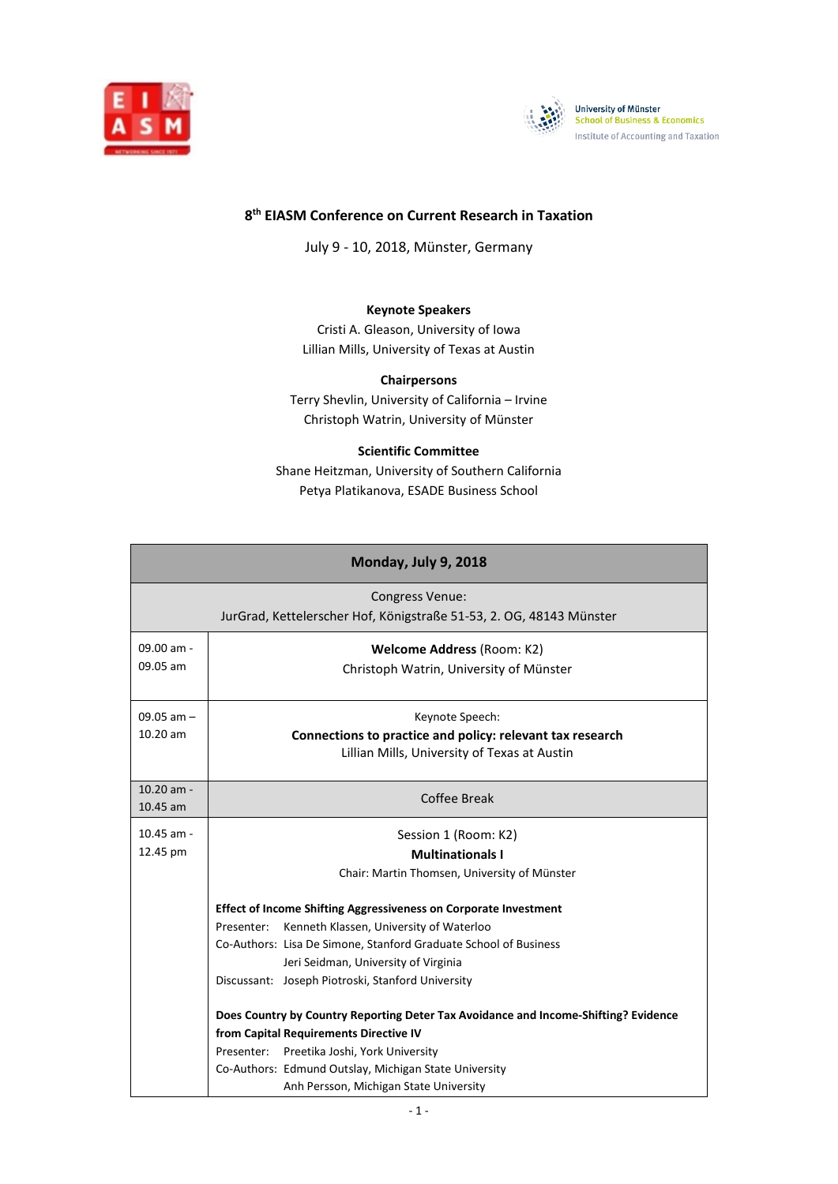



## **8th EIASM Conference on Current Research in Taxation**

July 9 - 10, 2018, Münster, Germany

#### **Keynote Speakers**

Cristi A. Gleason, University of Iowa Lillian Mills, University of Texas at Austin

## **Chairpersons**

Terry Shevlin, University of California – Irvine Christoph Watrin, University of Münster

#### **Scientific Committee**

Shane Heitzman, University of Southern California Petya Platikanova, ESADE Business School

| Monday, July 9, 2018 |                                                                                     |  |
|----------------------|-------------------------------------------------------------------------------------|--|
|                      | <b>Congress Venue:</b>                                                              |  |
|                      | JurGrad, Kettelerscher Hof, Königstraße 51-53, 2. OG, 48143 Münster                 |  |
| 09.00 am -           | Welcome Address (Room: K2)                                                          |  |
| 09.05 am             | Christoph Watrin, University of Münster                                             |  |
| $09.05$ am $-$       | Keynote Speech:                                                                     |  |
| $10.20$ am           | Connections to practice and policy: relevant tax research                           |  |
|                      | Lillian Mills, University of Texas at Austin                                        |  |
| $10.20$ am -         | Coffee Break                                                                        |  |
| 10.45 am             |                                                                                     |  |
| $10.45$ am -         | Session 1 (Room: K2)                                                                |  |
| 12.45 pm             | <b>Multinationals I</b>                                                             |  |
|                      | Chair: Martin Thomsen, University of Münster                                        |  |
|                      | <b>Effect of Income Shifting Aggressiveness on Corporate Investment</b>             |  |
|                      | Kenneth Klassen, University of Waterloo<br>Presenter:                               |  |
|                      | Co-Authors: Lisa De Simone, Stanford Graduate School of Business                    |  |
|                      | Jeri Seidman, University of Virginia                                                |  |
|                      | Discussant: Joseph Piotroski, Stanford University                                   |  |
|                      | Does Country by Country Reporting Deter Tax Avoidance and Income-Shifting? Evidence |  |
|                      | from Capital Requirements Directive IV                                              |  |
|                      | Presenter: Preetika Joshi, York University                                          |  |
|                      | Co-Authors: Edmund Outslay, Michigan State University                               |  |
|                      | Anh Persson, Michigan State University                                              |  |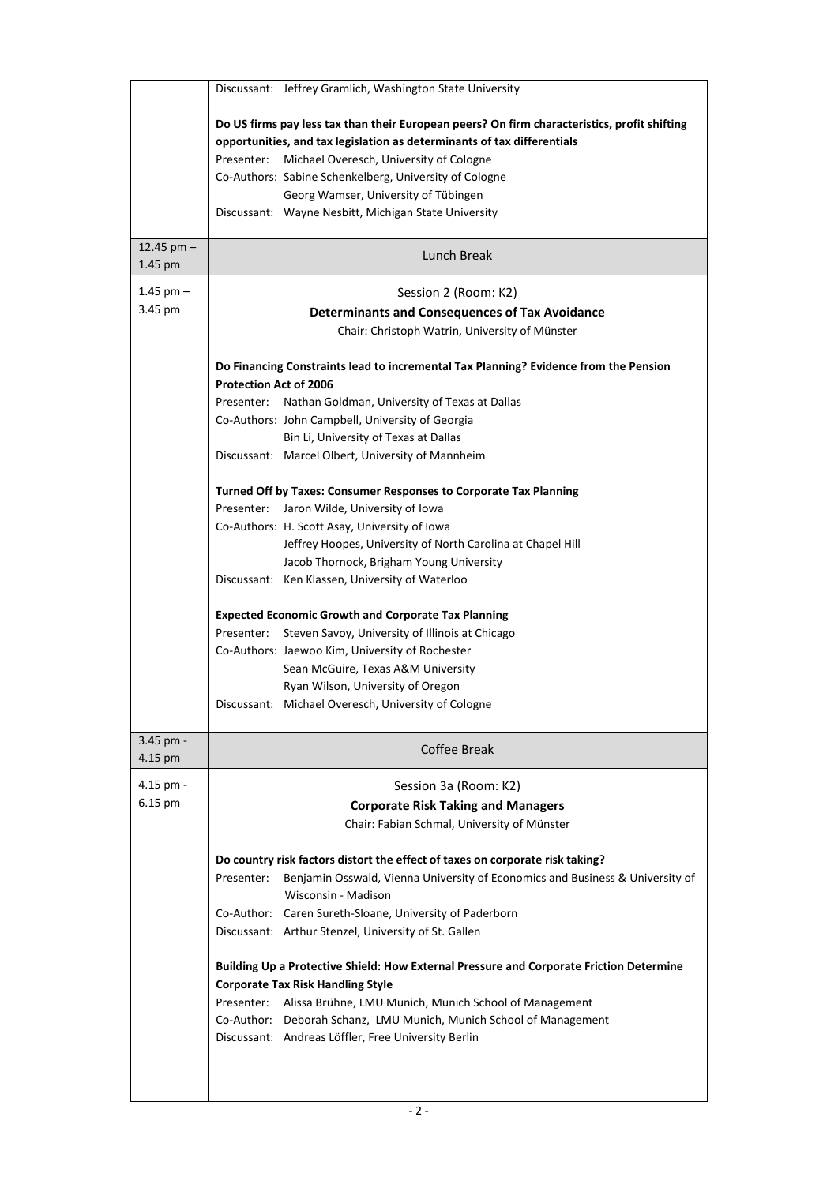|                      | Discussant: Jeffrey Gramlich, Washington State University                                                                                                                    |
|----------------------|------------------------------------------------------------------------------------------------------------------------------------------------------------------------------|
|                      | Do US firms pay less tax than their European peers? On firm characteristics, profit shifting                                                                                 |
|                      | opportunities, and tax legislation as determinants of tax differentials                                                                                                      |
|                      | Michael Overesch, University of Cologne<br>Presenter:                                                                                                                        |
|                      | Co-Authors: Sabine Schenkelberg, University of Cologne                                                                                                                       |
|                      | Georg Wamser, University of Tübingen                                                                                                                                         |
|                      | Discussant: Wayne Nesbitt, Michigan State University                                                                                                                         |
| 12.45 pm $-$         | Lunch Break                                                                                                                                                                  |
| 1.45 pm              |                                                                                                                                                                              |
| 1.45 pm $-$          | Session 2 (Room: K2)                                                                                                                                                         |
| 3.45 pm              | <b>Determinants and Consequences of Tax Avoidance</b>                                                                                                                        |
|                      | Chair: Christoph Watrin, University of Münster                                                                                                                               |
|                      | Do Financing Constraints lead to incremental Tax Planning? Evidence from the Pension                                                                                         |
|                      | <b>Protection Act of 2006</b><br>Nathan Goldman, University of Texas at Dallas<br>Presenter:                                                                                 |
|                      | Co-Authors: John Campbell, University of Georgia                                                                                                                             |
|                      | Bin Li, University of Texas at Dallas                                                                                                                                        |
|                      | Discussant: Marcel Olbert, University of Mannheim                                                                                                                            |
|                      |                                                                                                                                                                              |
|                      | Turned Off by Taxes: Consumer Responses to Corporate Tax Planning                                                                                                            |
|                      | Jaron Wilde, University of Iowa<br>Presenter:                                                                                                                                |
|                      | Co-Authors: H. Scott Asay, University of Iowa                                                                                                                                |
|                      | Jeffrey Hoopes, University of North Carolina at Chapel Hill<br>Jacob Thornock, Brigham Young University                                                                      |
|                      | Discussant: Ken Klassen, University of Waterloo                                                                                                                              |
|                      |                                                                                                                                                                              |
|                      | <b>Expected Economic Growth and Corporate Tax Planning</b>                                                                                                                   |
|                      | Presenter:<br>Steven Savoy, University of Illinois at Chicago                                                                                                                |
|                      | Co-Authors: Jaewoo Kim, University of Rochester                                                                                                                              |
|                      | Sean McGuire, Texas A&M University                                                                                                                                           |
|                      | Ryan Wilson, University of Oregon                                                                                                                                            |
|                      | Discussant: Michael Overesch, University of Cologne                                                                                                                          |
| 3.45 pm -<br>4.15 pm | <b>Coffee Break</b>                                                                                                                                                          |
| 4.15 pm -            | Session 3a (Room: K2)                                                                                                                                                        |
| 6.15 pm              | <b>Corporate Risk Taking and Managers</b>                                                                                                                                    |
|                      | Chair: Fabian Schmal, University of Münster                                                                                                                                  |
|                      |                                                                                                                                                                              |
|                      | Do country risk factors distort the effect of taxes on corporate risk taking?<br>Benjamin Osswald, Vienna University of Economics and Business & University of<br>Presenter: |
|                      | Wisconsin - Madison                                                                                                                                                          |
|                      | Co-Author: Caren Sureth-Sloane, University of Paderborn                                                                                                                      |
|                      | Discussant: Arthur Stenzel, University of St. Gallen                                                                                                                         |
|                      |                                                                                                                                                                              |
|                      | Building Up a Protective Shield: How External Pressure and Corporate Friction Determine                                                                                      |
|                      | <b>Corporate Tax Risk Handling Style</b>                                                                                                                                     |
|                      | Presenter: Alissa Brühne, LMU Munich, Munich School of Management<br>Co-Author: Deborah Schanz, LMU Munich, Munich School of Management                                      |
|                      | Discussant: Andreas Löffler, Free University Berlin                                                                                                                          |
|                      |                                                                                                                                                                              |
|                      |                                                                                                                                                                              |
|                      |                                                                                                                                                                              |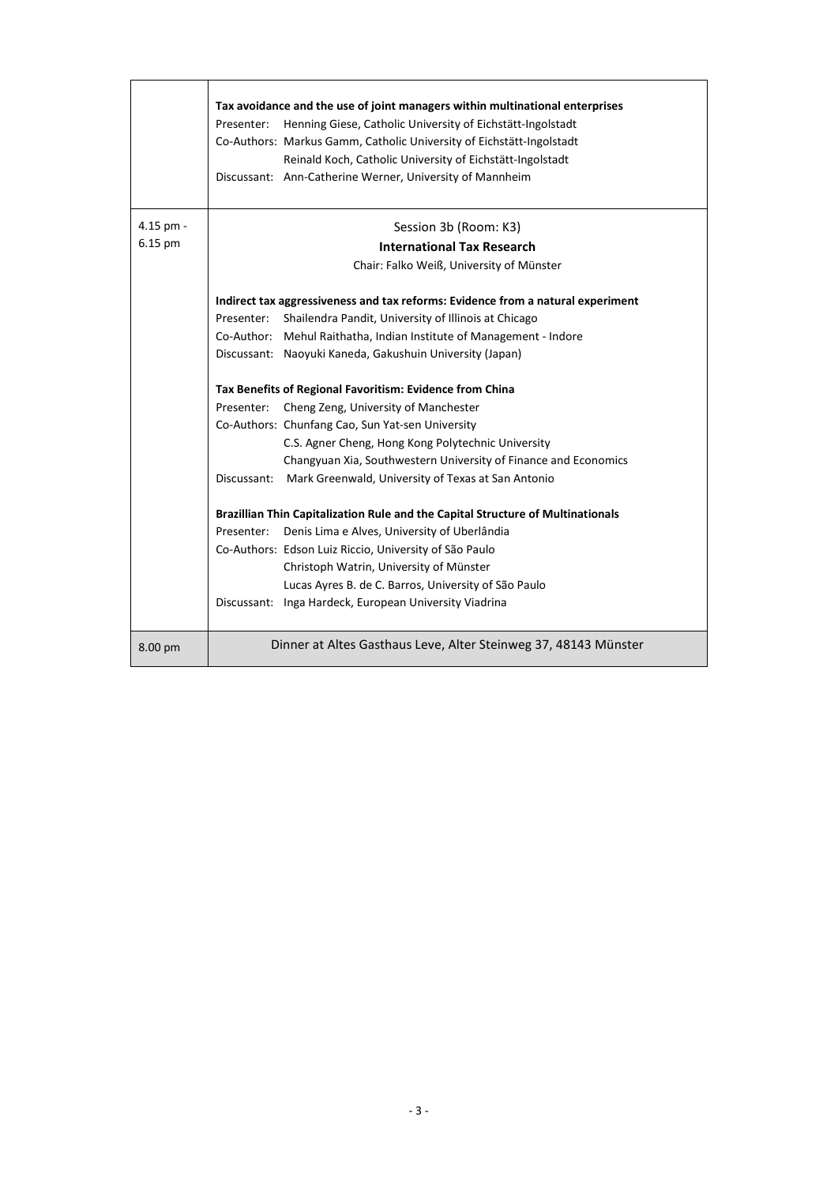|           | Tax avoidance and the use of joint managers within multinational enterprises    |
|-----------|---------------------------------------------------------------------------------|
|           | Henning Giese, Catholic University of Eichstätt-Ingolstadt<br>Presenter:        |
|           | Co-Authors: Markus Gamm, Catholic University of Eichstätt-Ingolstadt            |
|           | Reinald Koch, Catholic University of Eichstätt-Ingolstadt                       |
|           | Discussant: Ann-Catherine Werner, University of Mannheim                        |
|           |                                                                                 |
| 4.15 pm - | Session 3b (Room: K3)                                                           |
| 6.15 pm   | <b>International Tax Research</b>                                               |
|           | Chair: Falko Weiß, University of Münster                                        |
|           | Indirect tax aggressiveness and tax reforms: Evidence from a natural experiment |
|           | Shailendra Pandit, University of Illinois at Chicago<br>Presenter:              |
|           | Co-Author: Mehul Raithatha, Indian Institute of Management - Indore             |
|           | Discussant: Naoyuki Kaneda, Gakushuin University (Japan)                        |
|           | Tax Benefits of Regional Favoritism: Evidence from China                        |
|           | Cheng Zeng, University of Manchester<br>Presenter:                              |
|           | Co-Authors: Chunfang Cao, Sun Yat-sen University                                |
|           | C.S. Agner Cheng, Hong Kong Polytechnic University                              |
|           | Changyuan Xia, Southwestern University of Finance and Economics                 |
|           | Discussant: Mark Greenwald, University of Texas at San Antonio                  |
|           | Brazillian Thin Capitalization Rule and the Capital Structure of Multinationals |
|           | Presenter:<br>Denis Lima e Alves, University of Uberlândia                      |
|           | Co-Authors: Edson Luiz Riccio, University of São Paulo                          |
|           | Christoph Watrin, University of Münster                                         |
|           | Lucas Ayres B. de C. Barros, University of São Paulo                            |
|           | Discussant: Inga Hardeck, European University Viadrina                          |
|           |                                                                                 |
| 8.00 pm   | Dinner at Altes Gasthaus Leve, Alter Steinweg 37, 48143 Münster                 |

.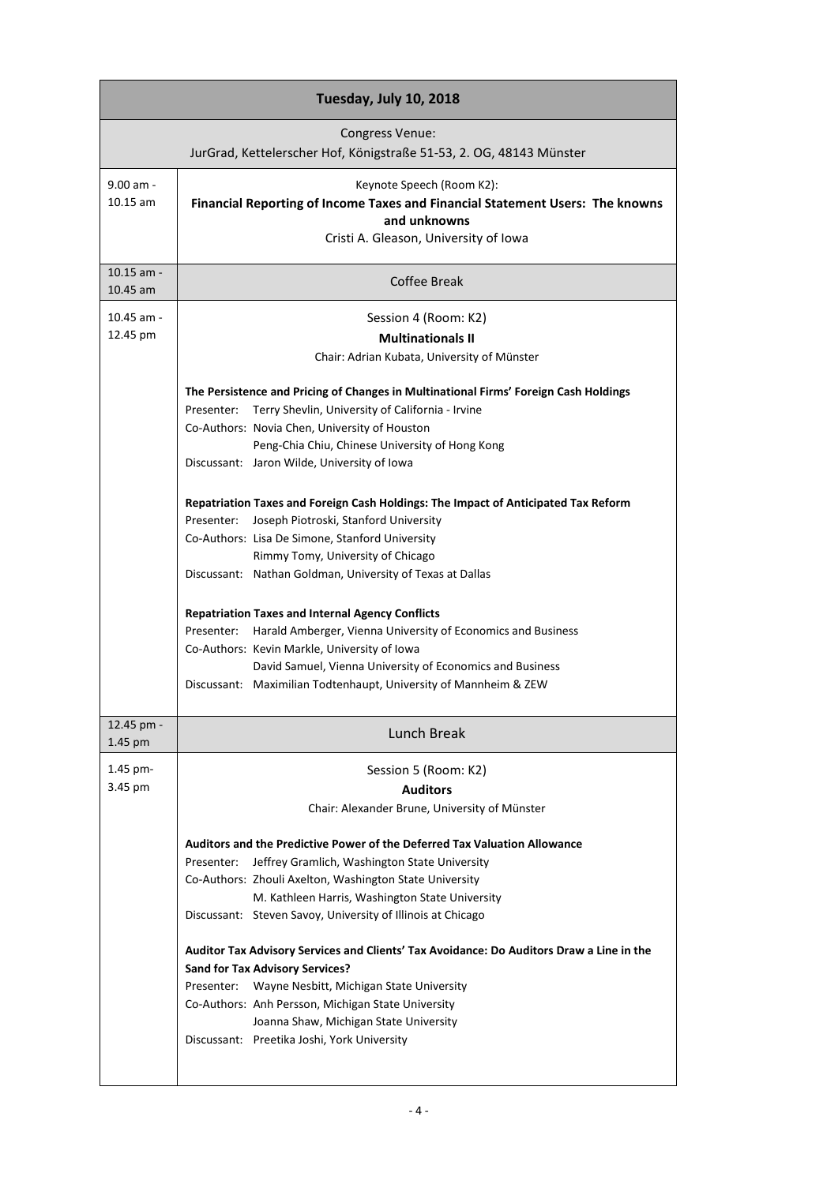| Tuesday, July 10, 2018    |                                                                                                                                                                                                                                                                                                                                                                                                                                                                                                                                                                                                                                                                                                                                                                                                                                                                                                                                                                                                                                 |  |
|---------------------------|---------------------------------------------------------------------------------------------------------------------------------------------------------------------------------------------------------------------------------------------------------------------------------------------------------------------------------------------------------------------------------------------------------------------------------------------------------------------------------------------------------------------------------------------------------------------------------------------------------------------------------------------------------------------------------------------------------------------------------------------------------------------------------------------------------------------------------------------------------------------------------------------------------------------------------------------------------------------------------------------------------------------------------|--|
|                           | <b>Congress Venue:</b><br>JurGrad, Kettelerscher Hof, Königstraße 51-53, 2. OG, 48143 Münster                                                                                                                                                                                                                                                                                                                                                                                                                                                                                                                                                                                                                                                                                                                                                                                                                                                                                                                                   |  |
| $9.00$ am -<br>$10.15$ am | Keynote Speech (Room K2):<br>Financial Reporting of Income Taxes and Financial Statement Users: The knowns<br>and unknowns<br>Cristi A. Gleason, University of Iowa                                                                                                                                                                                                                                                                                                                                                                                                                                                                                                                                                                                                                                                                                                                                                                                                                                                             |  |
| $10.15$ am -<br>10.45 am  | Coffee Break                                                                                                                                                                                                                                                                                                                                                                                                                                                                                                                                                                                                                                                                                                                                                                                                                                                                                                                                                                                                                    |  |
| 10.45 am -<br>12.45 pm    | Session 4 (Room: K2)<br><b>Multinationals II</b><br>Chair: Adrian Kubata, University of Münster<br>The Persistence and Pricing of Changes in Multinational Firms' Foreign Cash Holdings<br>Presenter: Terry Shevlin, University of California - Irvine<br>Co-Authors: Novia Chen, University of Houston<br>Peng-Chia Chiu, Chinese University of Hong Kong<br>Discussant: Jaron Wilde, University of Iowa<br>Repatriation Taxes and Foreign Cash Holdings: The Impact of Anticipated Tax Reform<br>Presenter: Joseph Piotroski, Stanford University<br>Co-Authors: Lisa De Simone, Stanford University<br>Rimmy Tomy, University of Chicago<br>Discussant: Nathan Goldman, University of Texas at Dallas<br><b>Repatriation Taxes and Internal Agency Conflicts</b><br>Presenter: Harald Amberger, Vienna University of Economics and Business<br>Co-Authors: Kevin Markle, University of Iowa<br>David Samuel, Vienna University of Economics and Business<br>Discussant: Maximilian Todtenhaupt, University of Mannheim & ZEW |  |
| 12.45 pm -<br>1.45 pm     | Lunch Break                                                                                                                                                                                                                                                                                                                                                                                                                                                                                                                                                                                                                                                                                                                                                                                                                                                                                                                                                                                                                     |  |
| 1.45 pm-<br>3.45 pm       | Session 5 (Room: K2)<br><b>Auditors</b><br>Chair: Alexander Brune, University of Münster<br>Auditors and the Predictive Power of the Deferred Tax Valuation Allowance<br>Jeffrey Gramlich, Washington State University<br>Presenter:<br>Co-Authors: Zhouli Axelton, Washington State University<br>M. Kathleen Harris, Washington State University<br>Discussant: Steven Savoy, University of Illinois at Chicago<br>Auditor Tax Advisory Services and Clients' Tax Avoidance: Do Auditors Draw a Line in the<br><b>Sand for Tax Advisory Services?</b><br>Presenter:<br>Wayne Nesbitt, Michigan State University<br>Co-Authors: Anh Persson, Michigan State University<br>Joanna Shaw, Michigan State University<br>Discussant: Preetika Joshi, York University                                                                                                                                                                                                                                                                |  |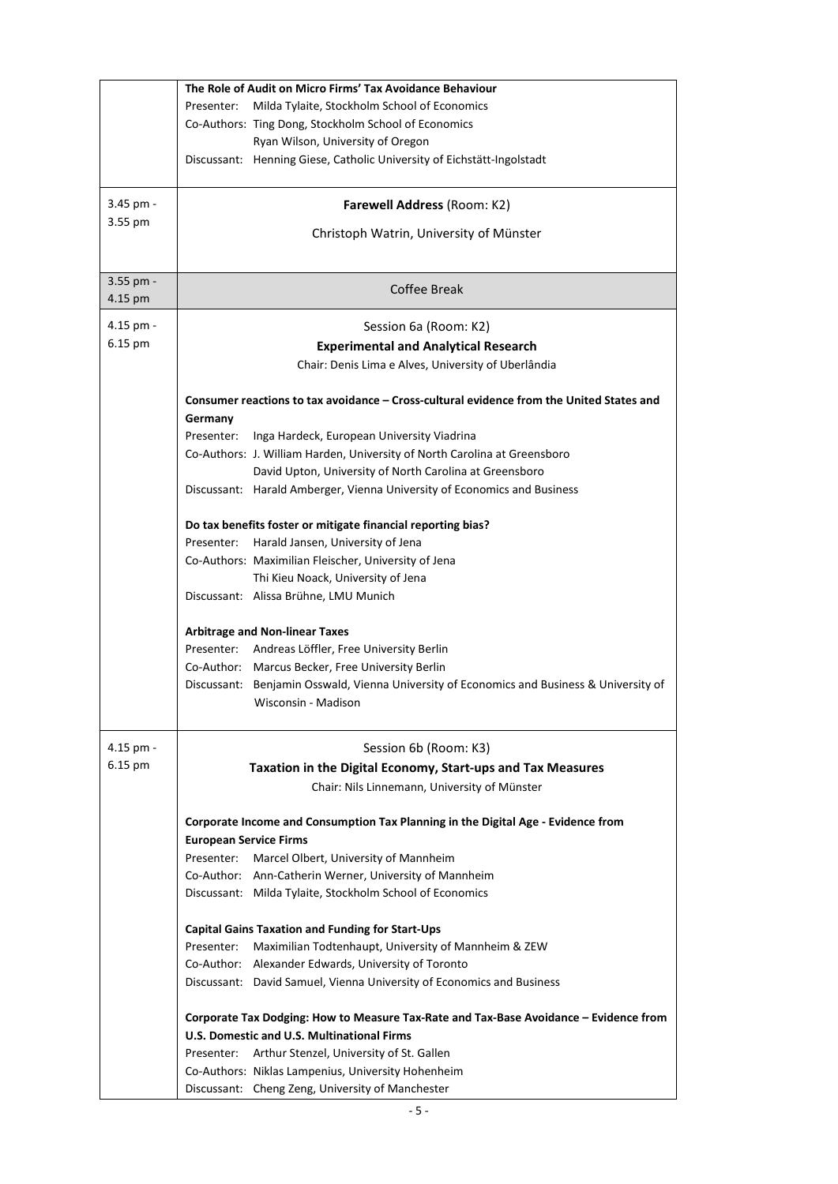|           | The Role of Audit on Micro Firms' Tax Avoidance Behaviour                                                         |
|-----------|-------------------------------------------------------------------------------------------------------------------|
|           | Presenter:<br>Milda Tylaite, Stockholm School of Economics                                                        |
|           | Co-Authors: Ting Dong, Stockholm School of Economics                                                              |
|           | Ryan Wilson, University of Oregon                                                                                 |
|           | Discussant: Henning Giese, Catholic University of Eichstätt-Ingolstadt                                            |
|           |                                                                                                                   |
| 3.45 pm - | Farewell Address (Room: K2)                                                                                       |
| 3.55 pm   |                                                                                                                   |
|           | Christoph Watrin, University of Münster                                                                           |
|           |                                                                                                                   |
| 3.55 pm - | Coffee Break                                                                                                      |
| 4.15 pm   |                                                                                                                   |
| 4.15 pm - | Session 6a (Room: K2)                                                                                             |
| 6.15 pm   | <b>Experimental and Analytical Research</b>                                                                       |
|           | Chair: Denis Lima e Alves, University of Uberlândia                                                               |
|           |                                                                                                                   |
|           | Consumer reactions to tax avoidance - Cross-cultural evidence from the United States and                          |
|           | Germany                                                                                                           |
|           | Inga Hardeck, European University Viadrina<br>Presenter:                                                          |
|           | Co-Authors: J. William Harden, University of North Carolina at Greensboro                                         |
|           | David Upton, University of North Carolina at Greensboro                                                           |
|           | Discussant: Harald Amberger, Vienna University of Economics and Business                                          |
|           |                                                                                                                   |
|           | Do tax benefits foster or mitigate financial reporting bias?<br>Presenter: Harald Jansen, University of Jena      |
|           | Co-Authors: Maximilian Fleischer, University of Jena                                                              |
|           | Thi Kieu Noack, University of Jena                                                                                |
|           | Discussant: Alissa Brühne, LMU Munich                                                                             |
|           |                                                                                                                   |
|           | <b>Arbitrage and Non-linear Taxes</b>                                                                             |
|           | Presenter: Andreas Löffler, Free University Berlin                                                                |
|           | Co-Author: Marcus Becker, Free University Berlin                                                                  |
|           | Discussant: Benjamin Osswald, Vienna University of Economics and Business & University of                         |
|           | Wisconsin - Madison                                                                                               |
|           |                                                                                                                   |
| 4.15 pm - | Session 6b (Room: K3)                                                                                             |
| 6.15 pm   | Taxation in the Digital Economy, Start-ups and Tax Measures                                                       |
|           | Chair: Nils Linnemann, University of Münster                                                                      |
|           |                                                                                                                   |
|           | Corporate Income and Consumption Tax Planning in the Digital Age - Evidence from<br><b>European Service Firms</b> |
|           | Presenter: Marcel Olbert, University of Mannheim                                                                  |
|           | Co-Author: Ann-Catherin Werner, University of Mannheim                                                            |
|           | Discussant: Milda Tylaite, Stockholm School of Economics                                                          |
|           |                                                                                                                   |
|           | <b>Capital Gains Taxation and Funding for Start-Ups</b>                                                           |
|           | Presenter:<br>Maximilian Todtenhaupt, University of Mannheim & ZEW                                                |
|           | Co-Author: Alexander Edwards, University of Toronto                                                               |
|           | Discussant: David Samuel, Vienna University of Economics and Business                                             |
|           |                                                                                                                   |
|           | Corporate Tax Dodging: How to Measure Tax-Rate and Tax-Base Avoidance - Evidence from                             |
|           | U.S. Domestic and U.S. Multinational Firms                                                                        |
|           | Presenter: Arthur Stenzel, University of St. Gallen                                                               |
|           | Co-Authors: Niklas Lampenius, University Hohenheim                                                                |
|           | Discussant: Cheng Zeng, University of Manchester                                                                  |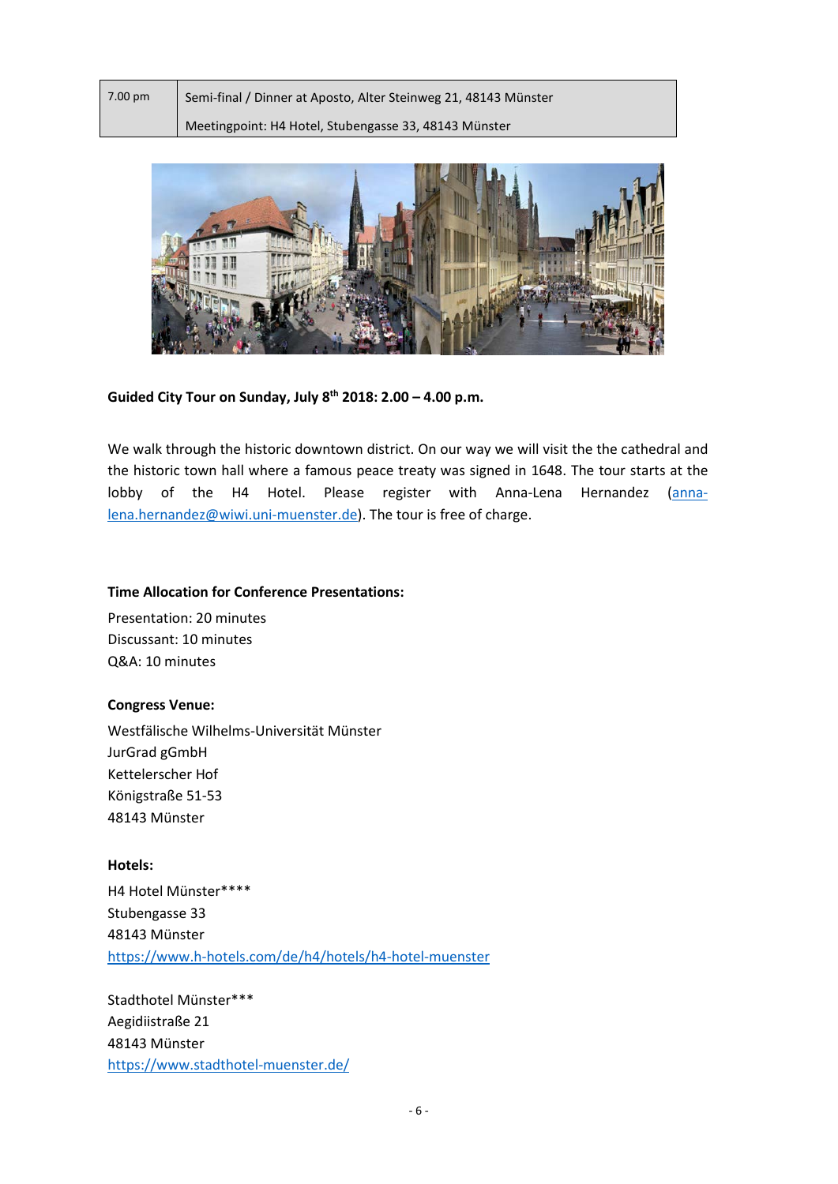| 7.00 pm | Semi-final / Dinner at Aposto, Alter Steinweg 21, 48143 Münster |
|---------|-----------------------------------------------------------------|
|         | Meetingpoint: H4 Hotel, Stubengasse 33, 48143 Münster           |



# **Guided City Tour on Sunday, July 8th 2018: 2.00 – 4.00 p.m.**

We walk through the historic downtown district. On our way we will visit the the cathedral and the historic town hall where a famous peace treaty was signed in 1648. The tour starts at the lobby of the H4 Hotel. Please register with Anna-Lena Hernandez [\(anna](mailto:anna-lena.hernandez@wiwi.uni-muenster.de)[lena.hernandez@wiwi.uni-muenster.de\)](mailto:anna-lena.hernandez@wiwi.uni-muenster.de). The tour is free of charge.

#### **Time Allocation for Conference Presentations:**

Presentation: 20 minutes Discussant: 10 minutes Q&A: 10 minutes

## **Congress Venue:**

Westfälische Wilhelms-Universität Münster JurGrad gGmbH Kettelerscher Hof Königstraße 51-53 48143 Münster

**Hotels:** H4 Hotel Münster\*\*\*\* Stubengasse 33 48143 Münster <https://www.h-hotels.com/de/h4/hotels/h4-hotel-muenster>

Stadthotel Münster\*\*\* Aegidiistraße 21 48143 Münster <https://www.stadthotel-muenster.de/>